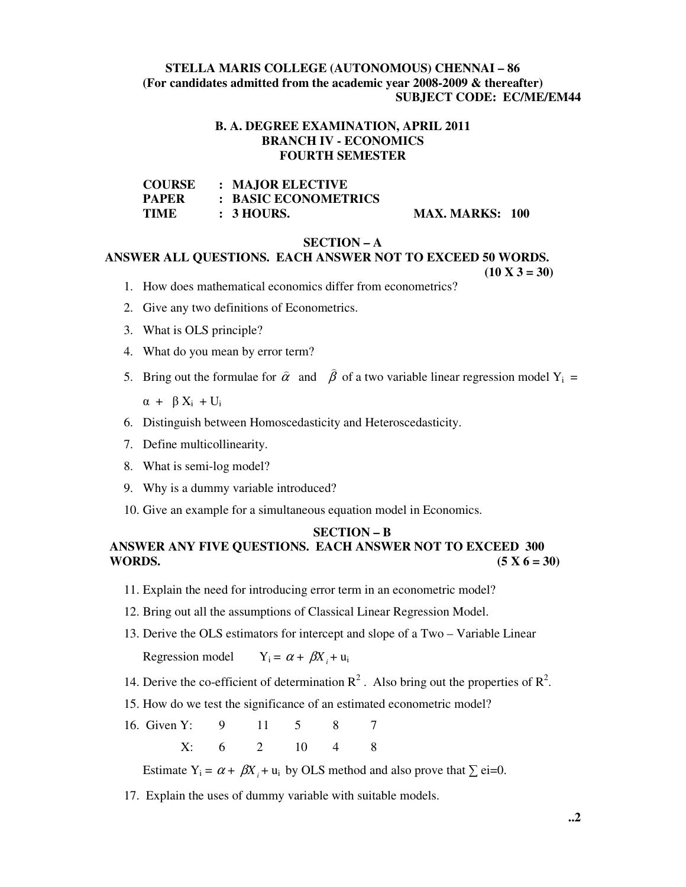# **STELLA MARIS COLLEGE (AUTONOMOUS) CHENNAI – 86 (For candidates admitted from the academic year 2008-2009 & thereafter) SUBJECT CODE: EC/ME/EM44**

### **B. A. DEGREE EXAMINATION, APRIL 2011 BRANCH IV - ECONOMICS FOURTH SEMESTER**

| <b>COURSE</b> | : MAJOR ELECTIVE      |
|---------------|-----------------------|
| <b>PAPER</b>  | : BASIC ECONOMETRICS  |
| TIME          | $\therefore$ 3 HOURS. |

#### **MAX. MARKS: 100**

#### **SECTION – A**

# **ANSWER ALL QUESTIONS. EACH ANSWER NOT TO EXCEED 50 WORDS.**

 $(10 \text{ X } 3 = 30)$ 

- 1. How does mathematical economics differ from econometrics?
- 2. Give any two definitions of Econometrics.
- 3. What is OLS principle?
- 4. What do you mean by error term?
- 5. Bring out the formulae for  $\hat{\alpha}$  $\overline{\phantom{a}}$ and  $\beta$ of a two variable linear regression model  $Y_i$  =

)

 $\alpha + \beta X_i + U_i$ 

- 6. Distinguish between Homoscedasticity and Heteroscedasticity.
- 7. Define multicollinearity.
- 8. What is semi-log model?
- 9. Why is a dummy variable introduced?
- 10. Give an example for a simultaneous equation model in Economics.

#### **SECTION – B**

# **ANSWER ANY FIVE QUESTIONS. EACH ANSWER NOT TO EXCEED 300 WORDS.** (5 X 6 = 30)

- 11. Explain the need for introducing error term in an econometric model?
- 12. Bring out all the assumptions of Classical Linear Regression Model.
- 13. Derive the OLS estimators for intercept and slope of a Two Variable Linear

Regression model  $Y_i = \alpha + \beta X_i + u_i$ 

- 14. Derive the co-efficient of determination  $\mathbb{R}^2$ . Also bring out the properties of  $\mathbb{R}^2$ .
- 15. How do we test the significance of an estimated econometric model?
- 16. Given Y: 9 11 5 8 7 X: 6 2 10 4 8

Estimate  $Y_i = \alpha + \beta X_i + u_i$  by OLS method and also prove that  $\sum$  ei=0.

17. Explain the uses of dummy variable with suitable models.